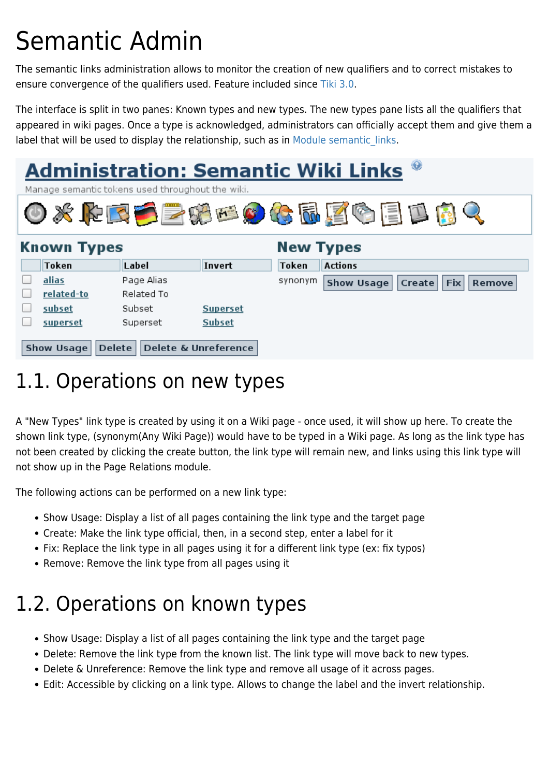## Semantic Admin

The semantic links administration allows to monitor the creation of new qualifiers and to correct mistakes to ensure convergence of the qualifiers used. Feature included since [Tiki 3.0.](https://doc.tiki.org/Tiki3)

The interface is split in two panes: Known types and new types. The new types pane lists all the qualifiers that appeared in wiki pages. Once a type is acknowledged, administrators can officially accept them and give them a label that will be used to display the relationship, such as in Module semantic links.



## 1.1. Operations on new types

A "New Types" link type is created by using it on a Wiki page - once used, it will show up here. To create the shown link type, (synonym(Any Wiki Page)) would have to be typed in a Wiki page. As long as the link type has not been created by clicking the create button, the link type will remain new, and links using this link type will not show up in the Page Relations module.

The following actions can be performed on a new link type:

- Show Usage: Display a list of all pages containing the link type and the target page
- Create: Make the link type official, then, in a second step, enter a label for it
- Fix: Replace the link type in all pages using it for a different link type (ex: fix typos)
- Remove: Remove the link type from all pages using it

## 1.2. Operations on known types

- Show Usage: Display a list of all pages containing the link type and the target page
- Delete: Remove the link type from the known list. The link type will move back to new types.
- Delete & Unreference: Remove the link type and remove all usage of it across pages.
- Edit: Accessible by clicking on a link type. Allows to change the label and the invert relationship.